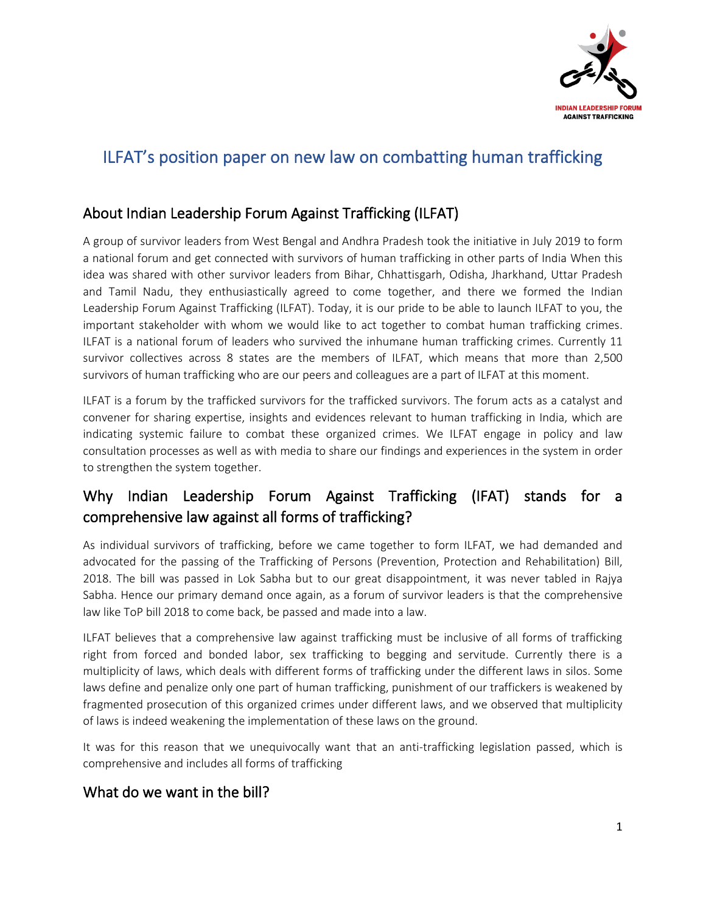

## ILFAT's position paper on new law on combatting human trafficking

## About Indian Leadership Forum Against Trafficking (ILFAT)

A group of survivor leaders from West Bengal and Andhra Pradesh took the initiative in July 2019 to form a national forum and get connected with survivors of human trafficking in other parts of India When this idea was shared with other survivor leaders from Bihar, Chhattisgarh, Odisha, Jharkhand, Uttar Pradesh and Tamil Nadu, they enthusiastically agreed to come together, and there we formed the Indian Leadership Forum Against Trafficking (ILFAT). Today, it is our pride to be able to launch ILFAT to you, the important stakeholder with whom we would like to act together to combat human trafficking crimes. ILFAT is a national forum of leaders who survived the inhumane human trafficking crimes. Currently 11 survivor collectives across 8 states are the members of ILFAT, which means that more than 2,500 survivors of human trafficking who are our peers and colleagues are a part of ILFAT at this moment.

ILFAT is a forum by the trafficked survivors for the trafficked survivors. The forum acts as a catalyst and convener for sharing expertise, insights and evidences relevant to human trafficking in India, which are indicating systemic failure to combat these organized crimes. We ILFAT engage in policy and law consultation processes as well as with media to share our findings and experiences in the system in order to strengthen the system together.

## Why Indian Leadership Forum Against Trafficking (IFAT) stands for a comprehensive law against all forms of trafficking?

As individual survivors of trafficking, before we came together to form ILFAT, we had demanded and advocated for the passing of the Trafficking of Persons (Prevention, Protection and Rehabilitation) Bill, 2018. The bill was passed in Lok Sabha but to our great disappointment, it was never tabled in Rajya Sabha. Hence our primary demand once again, as a forum of survivor leaders is that the comprehensive law like ToP bill 2018 to come back, be passed and made into a law.

ILFAT believes that a comprehensive law against trafficking must be inclusive of all forms of trafficking right from forced and bonded labor, sex trafficking to begging and servitude. Currently there is a multiplicity of laws, which deals with different forms of trafficking under the different laws in silos. Some laws define and penalize only one part of human trafficking, punishment of our traffickers is weakened by fragmented prosecution of this organized crimes under different laws, and we observed that multiplicity of laws is indeed weakening the implementation of these laws on the ground.

It was for this reason that we unequivocally want that an anti-trafficking legislation passed, which is comprehensive and includes all forms of trafficking

### What do we want in the bill?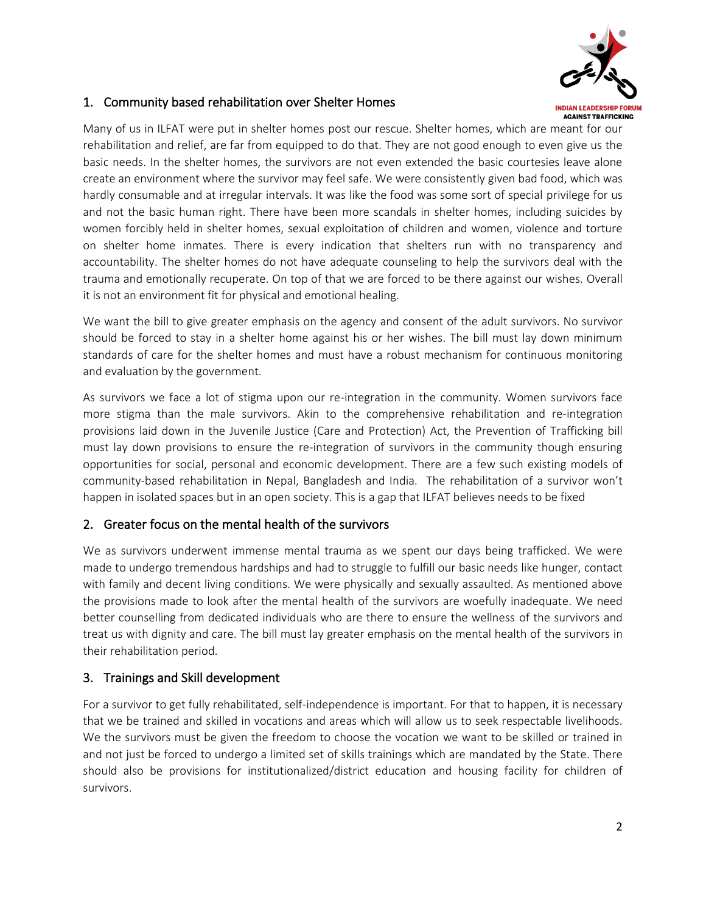

#### 1. Community based rehabilitation over Shelter Homes

Many of us in ILFAT were put in shelter homes post our rescue. Shelter homes, which are meant for our rehabilitation and relief, are far from equipped to do that. They are not good enough to even give us the basic needs. In the shelter homes, the survivors are not even extended the basic courtesies leave alone create an environment where the survivor may feel safe. We were consistently given bad food, which was hardly consumable and at irregular intervals. It was like the food was some sort of special privilege for us and not the basic human right. There have been more scandals in shelter homes, including suicides by women forcibly held in shelter homes, sexual exploitation of children and women, violence and torture on shelter home inmates. There is every indication that shelters run with no transparency and accountability. The shelter homes do not have adequate counseling to help the survivors deal with the trauma and emotionally recuperate. On top of that we are forced to be there against our wishes. Overall it is not an environment fit for physical and emotional healing.

We want the bill to give greater emphasis on the agency and consent of the adult survivors. No survivor should be forced to stay in a shelter home against his or her wishes. The bill must lay down minimum standards of care for the shelter homes and must have a robust mechanism for continuous monitoring and evaluation by the government.

As survivors we face a lot of stigma upon our re-integration in the community. Women survivors face more stigma than the male survivors. Akin to the comprehensive rehabilitation and re-integration provisions laid down in the Juvenile Justice (Care and Protection) Act, the Prevention of Trafficking bill must lay down provisions to ensure the re-integration of survivors in the community though ensuring opportunities for social, personal and economic development. There are a few such existing models of community-based rehabilitation in Nepal, Bangladesh and India. The rehabilitation of a survivor won't happen in isolated spaces but in an open society. This is a gap that ILFAT believes needs to be fixed

#### 2. Greater focus on the mental health of the survivors

We as survivors underwent immense mental trauma as we spent our days being trafficked. We were made to undergo tremendous hardships and had to struggle to fulfill our basic needs like hunger, contact with family and decent living conditions. We were physically and sexually assaulted. As mentioned above the provisions made to look after the mental health of the survivors are woefully inadequate. We need better counselling from dedicated individuals who are there to ensure the wellness of the survivors and treat us with dignity and care. The bill must lay greater emphasis on the mental health of the survivors in their rehabilitation period.

#### 3. Trainings and Skill development

For a survivor to get fully rehabilitated, self-independence is important. For that to happen, it is necessary that we be trained and skilled in vocations and areas which will allow us to seek respectable livelihoods. We the survivors must be given the freedom to choose the vocation we want to be skilled or trained in and not just be forced to undergo a limited set of skills trainings which are mandated by the State. There should also be provisions for institutionalized/district education and housing facility for children of survivors.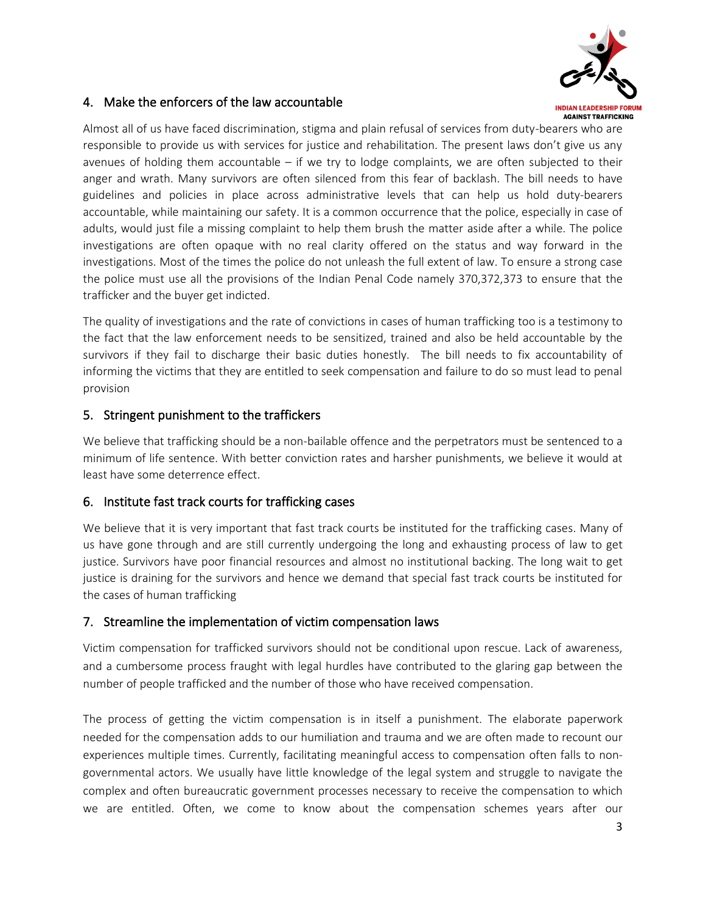

#### 4. Make the enforcers of the law accountable

Almost all of us have faced discrimination, stigma and plain refusal of services from duty-bearers who are responsible to provide us with services for justice and rehabilitation. The present laws don't give us any avenues of holding them accountable  $-$  if we try to lodge complaints, we are often subjected to their anger and wrath. Many survivors are often silenced from this fear of backlash. The bill needs to have guidelines and policies in place across administrative levels that can help us hold duty-bearers accountable, while maintaining our safety. It is a common occurrence that the police, especially in case of adults, would just file a missing complaint to help them brush the matter aside after a while. The police investigations are often opaque with no real clarity offered on the status and way forward in the investigations. Most of the times the police do not unleash the full extent of law. To ensure a strong case the police must use all the provisions of the Indian Penal Code namely 370,372,373 to ensure that the trafficker and the buyer get indicted.

The quality of investigations and the rate of convictions in cases of human trafficking too is a testimony to the fact that the law enforcement needs to be sensitized, trained and also be held accountable by the survivors if they fail to discharge their basic duties honestly. The bill needs to fix accountability of informing the victims that they are entitled to seek compensation and failure to do so must lead to penal provision

#### 5. Stringent punishment to the traffickers

We believe that trafficking should be a non-bailable offence and the perpetrators must be sentenced to a minimum of life sentence. With better conviction rates and harsher punishments, we believe it would at least have some deterrence effect.

#### 6. Institute fast track courts for trafficking cases

We believe that it is very important that fast track courts be instituted for the trafficking cases. Many of us have gone through and are still currently undergoing the long and exhausting process of law to get justice. Survivors have poor financial resources and almost no institutional backing. The long wait to get justice is draining for the survivors and hence we demand that special fast track courts be instituted for the cases of human trafficking

#### 7. Streamline the implementation of victim compensation laws

Victim compensation for trafficked survivors should not be conditional upon rescue. Lack of awareness, and a cumbersome process fraught with legal hurdles have contributed to the glaring gap between the number of people trafficked and the number of those who have received compensation.

The process of getting the victim compensation is in itself a punishment. The elaborate paperwork needed for the compensation adds to our humiliation and trauma and we are often made to recount our experiences multiple times. Currently, facilitating meaningful access to compensation often falls to nongovernmental actors. We usually have little knowledge of the legal system and struggle to navigate the complex and often bureaucratic government processes necessary to receive the compensation to which we are entitled. Often, we come to know about the compensation schemes years after our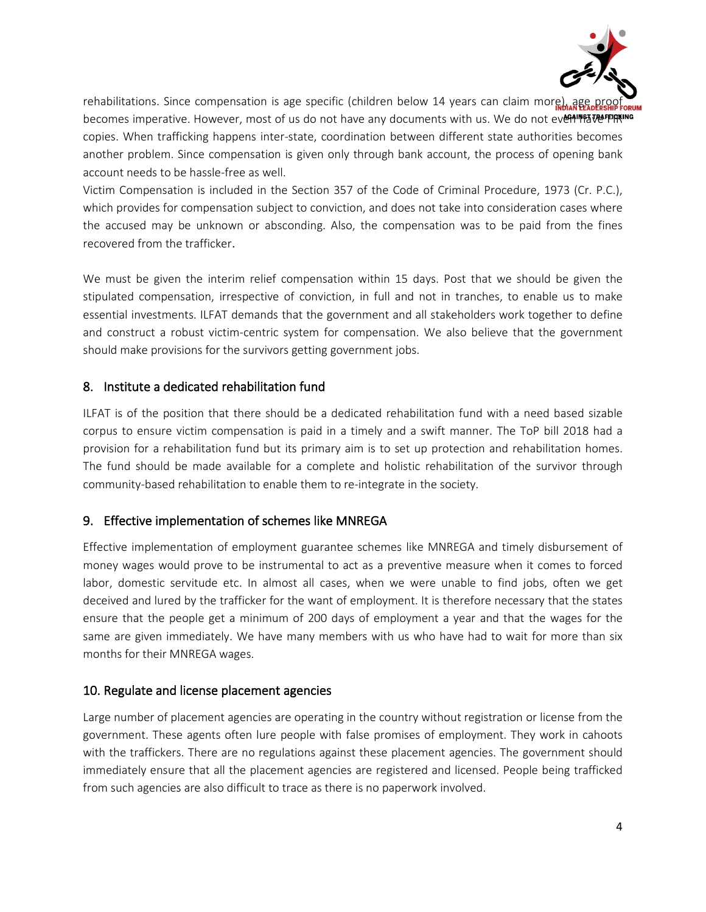

rehabilitations. Since compensation is age specific (children below 14 years can claim more), age becomes imperative. However, most of us do not have any documents with us. We do not even have FPIRKING copies. When trafficking happens inter-state, coordination between different state authorities becomes another problem. Since compensation is given only through bank account, the process of opening bank account needs to be hassle-free as well.

Victim Compensation is included in the Section 357 of the Code of Criminal Procedure, 1973 (Cr. P.C.), which provides for compensation subject to conviction, and does not take into consideration cases where the accused may be unknown or absconding. Also, the compensation was to be paid from the fines recovered from the trafficker.

We must be given the interim relief compensation within 15 days. Post that we should be given the stipulated compensation, irrespective of conviction, in full and not in tranches, to enable us to make essential investments. ILFAT demands that the government and all stakeholders work together to define and construct a robust victim-centric system for compensation. We also believe that the government should make provisions for the survivors getting government jobs.

#### 8. Institute a dedicated rehabilitation fund

ILFAT is of the position that there should be a dedicated rehabilitation fund with a need based sizable corpus to ensure victim compensation is paid in a timely and a swift manner. The ToP bill 2018 had a provision for a rehabilitation fund but its primary aim is to set up protection and rehabilitation homes. The fund should be made available for a complete and holistic rehabilitation of the survivor through community-based rehabilitation to enable them to re-integrate in the society.

#### 9. Effective implementation of schemes like MNREGA

Effective implementation of employment guarantee schemes like MNREGA and timely disbursement of money wages would prove to be instrumental to act as a preventive measure when it comes to forced labor, domestic servitude etc. In almost all cases, when we were unable to find jobs, often we get deceived and lured by the trafficker for the want of employment. It is therefore necessary that the states ensure that the people get a minimum of 200 days of employment a year and that the wages for the same are given immediately. We have many members with us who have had to wait for more than six months for their MNREGA wages.

#### 10. Regulate and license placement agencies

Large number of placement agencies are operating in the country without registration or license from the government. These agents often lure people with false promises of employment. They work in cahoots with the traffickers. There are no regulations against these placement agencies. The government should immediately ensure that all the placement agencies are registered and licensed. People being trafficked from such agencies are also difficult to trace as there is no paperwork involved.